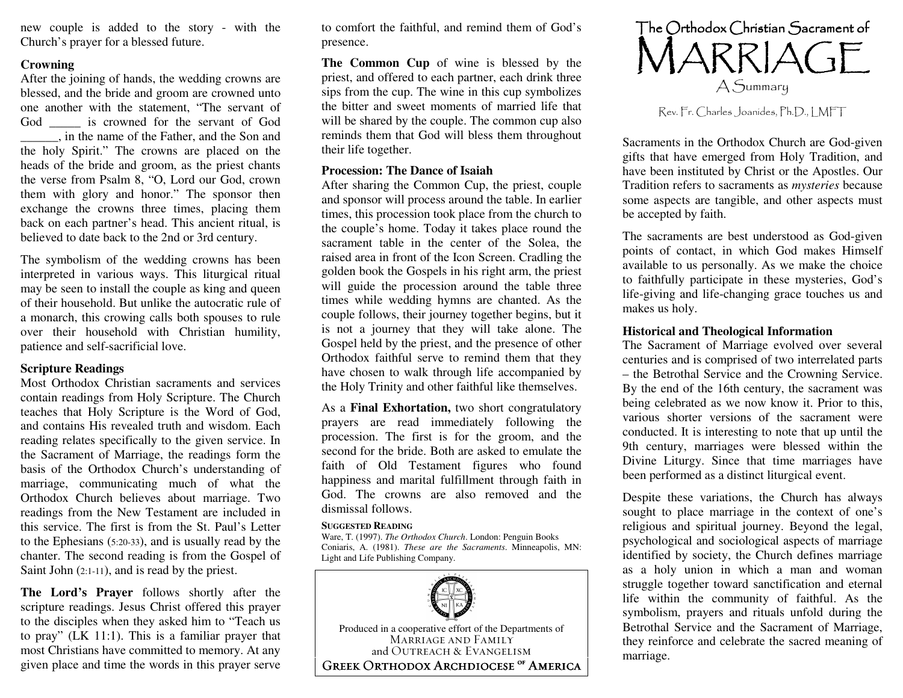new co uple is ad ded to the story - with the Ch urch's prayer for <sup>a</sup> blessed future.

# **Crowning**

After the joining of hands, the wedding crowns are blessed, an d the bride an d gro o m are cro wned u nto one another with the statement, "T he servant of God\_\_\_\_\_ is cro wned for the servant of God\_\_\_\_\_\_, in the name of the Father, an d the Son an dthe holy Spirit." T he crowns are placed on the heads of the bride and groom, as the priest chants the verse from Psalm 8, "O, Lord our God, crown them with glory and honor." The sponsor then exchan ge the cro w ns three times, placin g them back o n each partner's head. T his ancient ritual, is believed to date back to the 2 n d or 3rd century.

T he sy mb olism of the wed din g cro w ns has been interpreted in vario us ways. T his liturgical ritual may be seen to install the couple as king and queen of their household. But unlike the autocratic rule of a m o narch, this cro win g calls b oth sp o uses to rule o ver their h o useh old with C hristian h u mility, patience an d self-sacrificial lo ve.

# **Scripture Rea dings**

Most Orth o d o x C hristian sacraments an d services co ntain readin gs fro m H oly Scripture. T he C h urch teaches that H oly Scripture is the W ord of G o d, and contains His revealed truth and wisdom. Each readin g relates specifically to the given service. In the Sacrament of Marriage, the readin gs form the basis of the Orthodox Church's understanding of marriage, co mmu nicatin g much of w hat the Orthodox Church believes about marriage. Two readings fro m the New Testament are included in this service. The first is from the St. Paul's Letter to the Ep hesians (5:20-33), an d is usually read by the chanter. The seco n d readin g is fro m the G ospel of Saint John (2:1-11), and is read by the priest.

**The Lord's Pra yer** follo ws sh ortly after the scripture readin gs. Jesus C hrist offered this prayer to the disciples <sup>w</sup> hen they asked him to "Teach us to pray" (L K 11:1). T his is <sup>a</sup> familiar prayer that most Christians have committed to memory. At any given place an d time the <sup>w</sup> ords in this prayer serve

to co mfort the faithful, an d remin d themof God'spresence.

**The Common Cup** of wine is blessed by the priest, an d offered to each partner, each drin k three sips fro m the cu p. T he wine in this cu p sy mbolizesthe bitter and sweet moments of married life that will be shared by the couple. The common cup also reminds them that God will bless them throughout their life to gether.

## **Procession: The Dance of Isaiah**

After sharing the Common Cup, the priest, couple an d sp o nsor will process aro u n d the table. In earlier times, this processio n to o k place fro m the ch urch to the co u ple's h o me. T o day it takes place ro u n d the sacrament table in the center of the Solea, the raised area in fro nt of the Ico n Screen. Cradlin g the g olden b o o k the G ospels in his rig ht arm, the priest will guide the procession around the table three times while wedding hymns are chanted. As the co u ple follo ws, their jo urney to gether begins, b ut it is n ot a jo urney that they will take alo ne. T he G ospel held b y the priest, an d the presence of other Orth o d o x faithful serve to remin d them that they have chosen to walk through life accompanied by the Holy Trinity an dother faithful like themselves.

As a Final Exhortation, two short congratulatory prayers are read im mediately follo win g the processio n. The first is for the gro om, an d the second for the bride. Both are asked to emulate the faith of Old Testament figures who found hap piness an dmarital fulfillment throug h faith in God. The crowns are also removed an d the dismissal follows.

#### **SUGGESTEDREADING**

Ware, T. (1997). *The Orthodox Church*. London: Penguin Books Coniaris, A. (1981). *These are the Sacraments*. Minneapolis, M N: Light and Life Publishing Company.





Rev. Fr. Charles Joanides, Ph.D., LMFT

Sacraments in the Orth odoxChurch are God-given gifts that have emerged from Holy Tradition, and have been instituted b y C hrist or the Ap ostles. Our Traditio n refers to sacraments as *mysteries* because so me aspects are tan gible, an d other aspects must be accepted b y faith.

T he sacraments are best <sup>u</sup> n dersto o d as G o d-given points of contact, in which God makes Himself available to us personally. As we make the choice to faithfully participate in these mysteries, G o d's life-givin g an d life-chan gin g grace to uches us an d makes us h oly.

### **Historical andTheological Inform ation**

The Sacrament of Marriage evolved over several centuries an d is co mprised of tw o interrelated parts – the Betrothal Service an d the Cro w nin g Service. B y the en d of the 16th century, the sacrament was being celebrated as we now know it. Prior to this, vario us sh orter versio ns of the sacrament were co n d ucted. It is interestin g to n ote that <sup>u</sup> p u ntil the 9th century, marriages were blessed within the Divine Liturg y. Since that time marriages have been performed as <sup>a</sup> distinct liturgical event.

Despite these variations, the Church has always sought to place marriage in the context of one's religio us an d spiritual jo urney. Bey o n d the legal, psych olo gical an d sociolo gical aspects of marriage identified by society, the Church defines marriage as a h oly u nio n in w hich a man an d w o man stru g gle to gether to ward sanctificatio n an d eternal life within the co m mu nity of faithful. As the sy mb olism, prayers an d rituals <sup>u</sup> nfold d urin g the Betrothal Service and the Sacrament of Marriage, they reinforce an d celebrate the sacred meanin g of marriage.